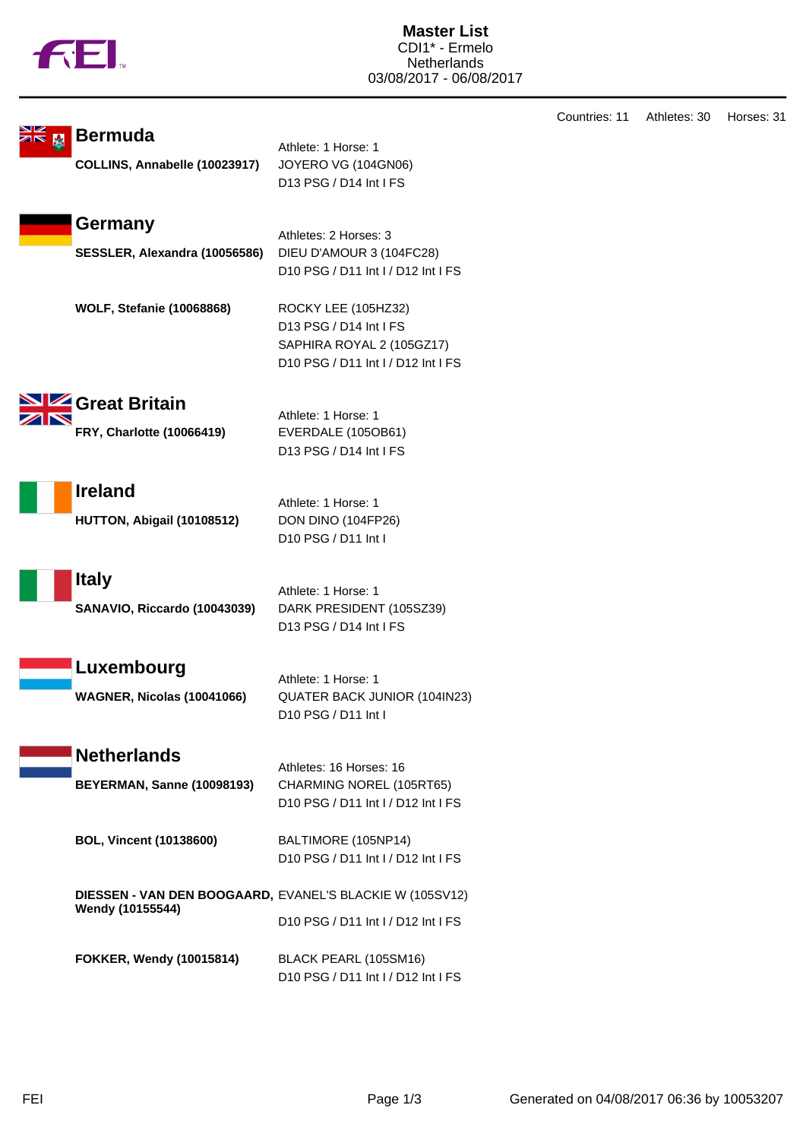

|   |                                                          |                                                                | Countries: 11 | Athletes: 30 | Horses: 31 |
|---|----------------------------------------------------------|----------------------------------------------------------------|---------------|--------------|------------|
| Ŀ | <b>Bermuda</b>                                           | Athlete: 1 Horse: 1                                            |               |              |            |
|   | COLLINS, Annabelle (10023917)                            | JOYERO VG (104GN06)                                            |               |              |            |
|   |                                                          | D13 PSG / D14 Int I FS                                         |               |              |            |
|   |                                                          |                                                                |               |              |            |
|   | Germany                                                  |                                                                |               |              |            |
|   |                                                          | Athletes: 2 Horses: 3                                          |               |              |            |
|   | SESSLER, Alexandra (10056586)                            | DIEU D'AMOUR 3 (104FC28)<br>D10 PSG / D11 Int I / D12 Int I FS |               |              |            |
|   |                                                          |                                                                |               |              |            |
|   | <b>WOLF, Stefanie (10068868)</b>                         | ROCKY LEE (105HZ32)                                            |               |              |            |
|   |                                                          | D13 PSG / D14 Int I FS                                         |               |              |            |
|   |                                                          | SAPHIRA ROYAL 2 (105GZ17)                                      |               |              |            |
|   |                                                          | D10 PSG / D11 Int I / D12 Int I FS                             |               |              |            |
|   |                                                          |                                                                |               |              |            |
|   | <b>State Britain</b>                                     | Athlete: 1 Horse: 1                                            |               |              |            |
|   | FRY, Charlotte (10066419)                                | EVERDALE (105OB61)                                             |               |              |            |
|   |                                                          | D13 PSG / D14 Int I FS                                         |               |              |            |
|   |                                                          |                                                                |               |              |            |
|   | <b>Ireland</b>                                           |                                                                |               |              |            |
|   |                                                          | Athlete: 1 Horse: 1                                            |               |              |            |
|   | HUTTON, Abigail (10108512)                               | DON DINO (104FP26)<br>D10 PSG / D11 Int I                      |               |              |            |
|   |                                                          |                                                                |               |              |            |
|   | <b>Italy</b>                                             |                                                                |               |              |            |
|   |                                                          | Athlete: 1 Horse: 1                                            |               |              |            |
|   | SANAVIO, Riccardo (10043039)                             | DARK PRESIDENT (105SZ39)                                       |               |              |            |
|   |                                                          | D13 PSG / D14 Int I FS                                         |               |              |            |
|   |                                                          |                                                                |               |              |            |
|   | Luxembourg                                               | Athlete: 1 Horse: 1                                            |               |              |            |
|   | WAGNER, Nicolas (10041066)                               | QUATER BACK JUNIOR (104IN23)                                   |               |              |            |
|   |                                                          | D <sub>10</sub> PSG / D <sub>11</sub> Int I                    |               |              |            |
|   |                                                          |                                                                |               |              |            |
|   | <b>Netherlands</b>                                       | Athletes: 16 Horses: 16                                        |               |              |            |
|   | <b>BEYERMAN, Sanne (10098193)</b>                        | CHARMING NOREL (105RT65)                                       |               |              |            |
|   |                                                          | D10 PSG / D11 Int I / D12 Int I FS                             |               |              |            |
|   |                                                          |                                                                |               |              |            |
|   | <b>BOL, Vincent (10138600)</b>                           | BALTIMORE (105NP14)                                            |               |              |            |
|   |                                                          | D10 PSG / D11 Int I / D12 Int I FS                             |               |              |            |
|   | DIESSEN - VAN DEN BOOGAARD, EVANEL'S BLACKIE W (105SV12) |                                                                |               |              |            |
|   | Wendy (10155544)                                         |                                                                |               |              |            |
|   |                                                          | D10 PSG / D11 Int I / D12 Int I FS                             |               |              |            |
|   | FOKKER, Wendy (10015814)                                 | BLACK PEARL (105SM16)                                          |               |              |            |
|   |                                                          | D10 PSG / D11 Int I / D12 Int I FS                             |               |              |            |
|   |                                                          |                                                                |               |              |            |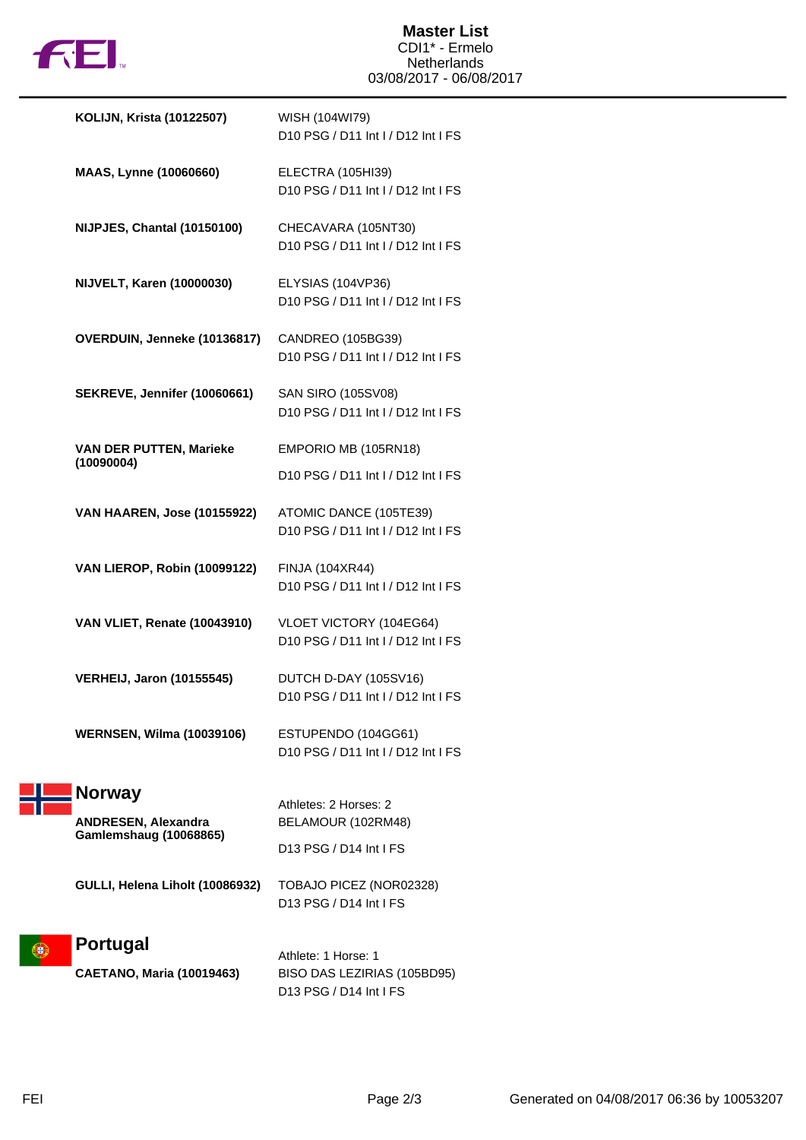

| <b>KOLIJN, Krista (10122507)</b>    | WISH (104WI79)<br>D10 PSG / D11 Int I / D12 Int I FS          |
|-------------------------------------|---------------------------------------------------------------|
| MAAS, Lynne (10060660)              | ELECTRA (105HI39)<br>D10 PSG / D11 Int I / D12 Int I FS       |
| NIJPJES, Chantal (10150100)         | CHECAVARA (105NT30)<br>D10 PSG / D11 Int I / D12 Int I FS     |
| NIJVELT, Karen (10000030)           | ELYSIAS (104VP36)<br>D10 PSG / D11 Int I / D12 Int I FS       |
| OVERDUIN, Jenneke (10136817)        | CANDREO (105BG39)<br>D10 PSG / D11 Int I / D12 Int I FS       |
| <b>SEKREVE, Jennifer (10060661)</b> | SAN SIRO (105SV08)<br>D10 PSG / D11 Int I / D12 Int I FS      |
| <b>VAN DER PUTTEN, Marieke</b>      | EMPORIO MB (105RN18)                                          |
| (10090004)                          | D10 PSG / D11 Int I / D12 Int I FS                            |
| <b>VAN HAAREN, Jose (10155922)</b>  | ATOMIC DANCE (105TE39)<br>D10 PSG / D11 Int I / D12 Int I FS  |
| <b>VAN LIEROP, Robin (10099122)</b> | FINJA (104XR44)<br>D10 PSG / D11 Int I / D12 Int I FS         |
| <b>VAN VLIET, Renate (10043910)</b> | VLOET VICTORY (104EG64)<br>D10 PSG / D11 Int I / D12 Int I FS |
| <b>VERHEIJ, Jaron (10155545)</b>    | DUTCH D-DAY (105SV16)<br>D10 PSG / D11 Int I / D12 Int I FS   |
| <b>WERNSEN, Wilma (10039106)</b>    | ESTUPENDO (104GG61)<br>D10 PSG / D11 Int I / D12 Int I FS     |
| <b>Norway</b>                       |                                                               |
| <b>ANDRESEN, Alexandra</b>          | Athletes: 2 Horses: 2<br>BELAMOUR (102RM48)                   |
| <b>Gamlemshaug (10068865)</b>       | D13 PSG / D14 Int I FS                                        |
| GULLI, Helena Liholt (10086932)     | TOBAJO PICEZ (NOR02328)<br>D13 PSG / D14 Int I FS             |
| Portugal                            |                                                               |
| <b>CAETANO, Maria (10019463)</b>    | Athlete: 1 Horse: 1<br>BISO DAS LEZIRIAS (105BD95)            |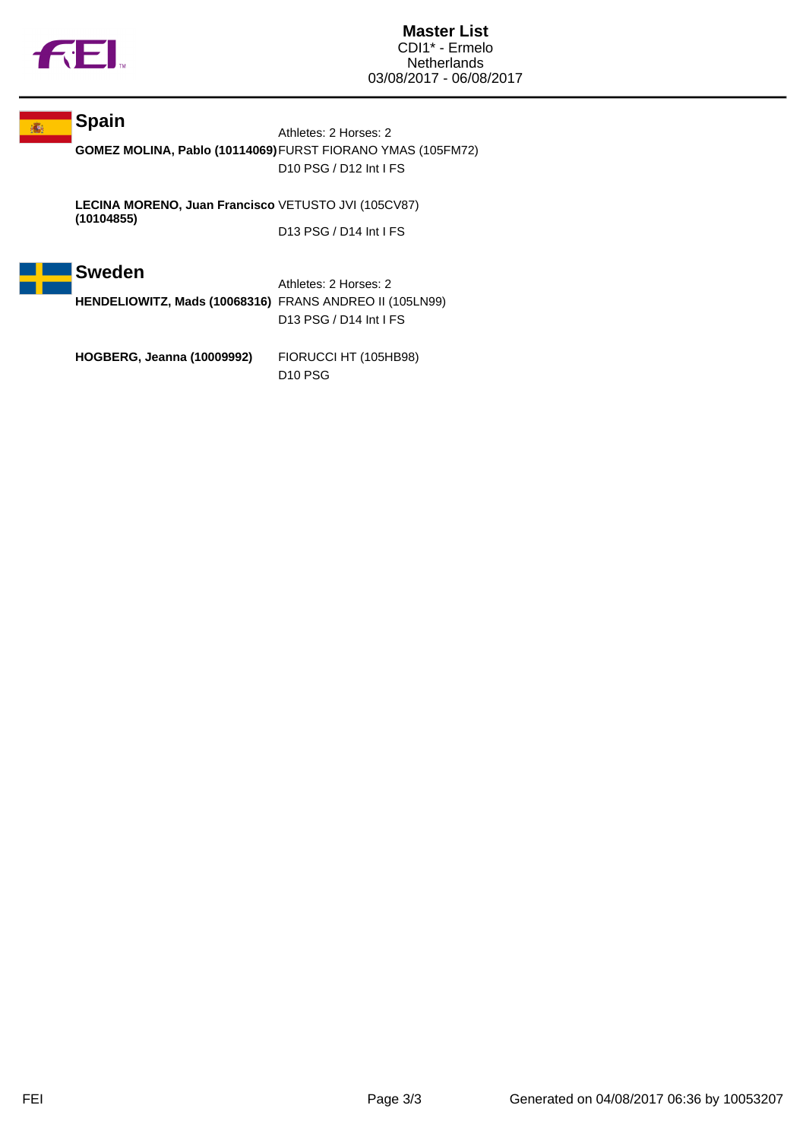

## **Spain**

Athletes: 2 Horses: 2 **GOMEZ MOLINA, Pablo (10114069)**FURST FIORANO YMAS (105FM72) D10 PSG / D12 Int I FS

**LECINA MORENO, Juan Francisco (10104855)** VETUSTO JVI (105CV87) D13 PSG / D14 Int I FS



Athletes: 2 Horses: 2 **HENDELIOWITZ, Mads (10068316)** FRANS ANDREO II (105LN99) D13 PSG / D14 Int I FS

**HOGBERG, Jeanna (10009992)** FIORUCCI HT (105HB98) D10 PSG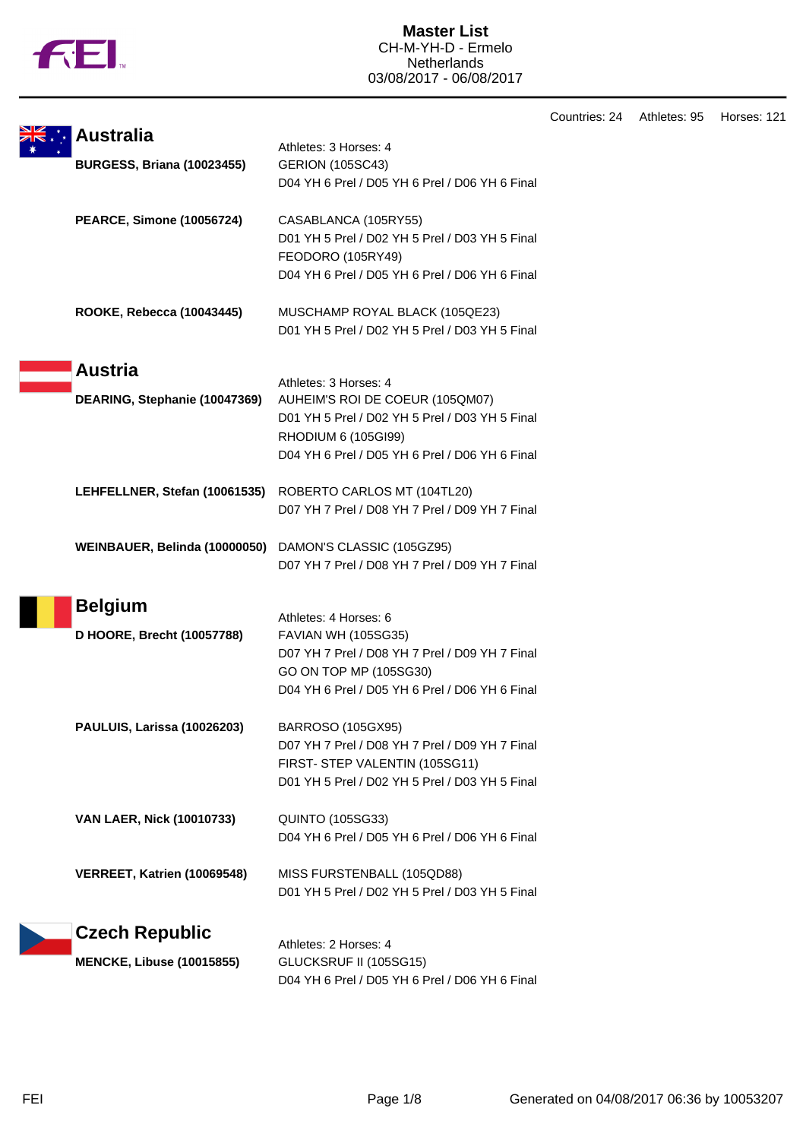

|                                                         |                                                                          | Countries: 24 | Athletes: 95 | Horses: 121 |
|---------------------------------------------------------|--------------------------------------------------------------------------|---------------|--------------|-------------|
| <b>Australia</b>                                        | Athletes: 3 Horses: 4                                                    |               |              |             |
| <b>BURGESS, Briana (10023455)</b>                       | <b>GERION (105SC43)</b>                                                  |               |              |             |
|                                                         | D04 YH 6 Prel / D05 YH 6 Prel / D06 YH 6 Final                           |               |              |             |
| <b>PEARCE, Simone (10056724)</b>                        | CASABLANCA (105RY55)                                                     |               |              |             |
|                                                         | D01 YH 5 Prel / D02 YH 5 Prel / D03 YH 5 Final                           |               |              |             |
|                                                         | FEODORO (105RY49)                                                        |               |              |             |
|                                                         | D04 YH 6 Prel / D05 YH 6 Prel / D06 YH 6 Final                           |               |              |             |
| ROOKE, Rebecca (10043445)                               | MUSCHAMP ROYAL BLACK (105QE23)                                           |               |              |             |
|                                                         | D01 YH 5 Prel / D02 YH 5 Prel / D03 YH 5 Final                           |               |              |             |
| <b>Austria</b>                                          |                                                                          |               |              |             |
|                                                         | Athletes: 3 Horses: 4                                                    |               |              |             |
| DEARING, Stephanie (10047369)                           | AUHEIM'S ROI DE COEUR (105QM07)                                          |               |              |             |
|                                                         | D01 YH 5 Prel / D02 YH 5 Prel / D03 YH 5 Final                           |               |              |             |
|                                                         | RHODIUM 6 (105GI99)                                                      |               |              |             |
|                                                         | D04 YH 6 Prel / D05 YH 6 Prel / D06 YH 6 Final                           |               |              |             |
|                                                         | LEHFELLNER, Stefan (10061535) ROBERTO CARLOS MT (104TL20)                |               |              |             |
|                                                         | D07 YH 7 Prel / D08 YH 7 Prel / D09 YH 7 Final                           |               |              |             |
| WEINBAUER, Belinda (10000050) DAMON'S CLASSIC (105GZ95) |                                                                          |               |              |             |
|                                                         | D07 YH 7 Prel / D08 YH 7 Prel / D09 YH 7 Final                           |               |              |             |
| <b>Belgium</b>                                          |                                                                          |               |              |             |
|                                                         | Athletes: 4 Horses: 6                                                    |               |              |             |
| D HOORE, Brecht (10057788)                              | <b>FAVIAN WH (105SG35)</b>                                               |               |              |             |
|                                                         | D07 YH 7 Prel / D08 YH 7 Prel / D09 YH 7 Final                           |               |              |             |
|                                                         | GO ON TOP MP (105SG30)<br>D04 YH 6 Prel / D05 YH 6 Prel / D06 YH 6 Final |               |              |             |
|                                                         |                                                                          |               |              |             |
| PAULUIS, Larissa (10026203)                             | BARROSO (105GX95)                                                        |               |              |             |
|                                                         | D07 YH 7 Prel / D08 YH 7 Prel / D09 YH 7 Final                           |               |              |             |
|                                                         | FIRST- STEP VALENTIN (105SG11)                                           |               |              |             |
|                                                         | D01 YH 5 Prel / D02 YH 5 Prel / D03 YH 5 Final                           |               |              |             |
| <b>VAN LAER, Nick (10010733)</b>                        | <b>QUINTO (105SG33)</b>                                                  |               |              |             |
|                                                         | D04 YH 6 Prel / D05 YH 6 Prel / D06 YH 6 Final                           |               |              |             |
| VERREET, Katrien (10069548)                             | MISS FURSTENBALL (105QD88)                                               |               |              |             |
|                                                         | D01 YH 5 Prel / D02 YH 5 Prel / D03 YH 5 Final                           |               |              |             |
| <b>Czech Republic</b>                                   |                                                                          |               |              |             |
| <b>MENCKE, Libuse (10015855)</b>                        | Athletes: 2 Horses: 4<br>GLUCKSRUF II (105SG15)                          |               |              |             |
|                                                         | D04 YH 6 Prel / D05 YH 6 Prel / D06 YH 6 Final                           |               |              |             |
|                                                         |                                                                          |               |              |             |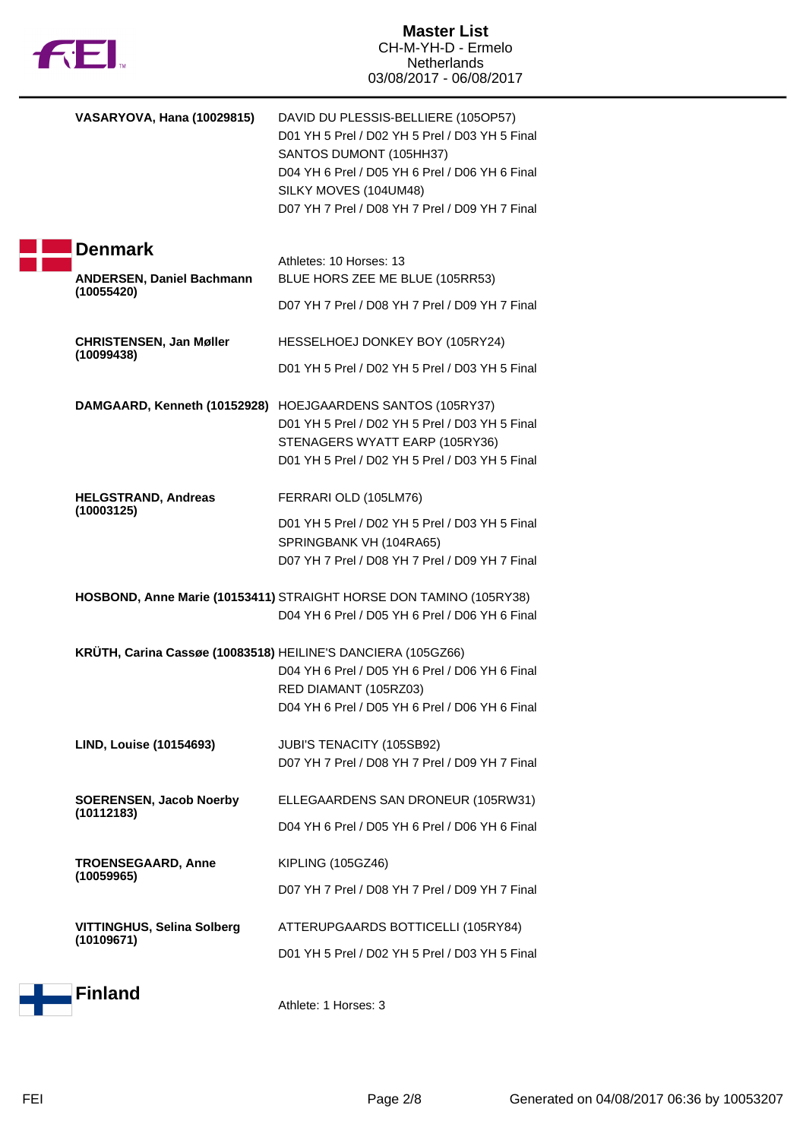| <b>12EI</b>                                                  | <b>Master List</b><br>CH-M-YH-D - Ermelo<br><b>Netherlands</b><br>03/08/2017 - 06/08/2017                                                                                                                                                     |
|--------------------------------------------------------------|-----------------------------------------------------------------------------------------------------------------------------------------------------------------------------------------------------------------------------------------------|
| <b>VASARYOVA, Hana (10029815)</b>                            | DAVID DU PLESSIS-BELLIERE (105OP57)<br>D01 YH 5 Prel / D02 YH 5 Prel / D03 YH 5 Final<br>SANTOS DUMONT (105HH37)<br>D04 YH 6 Prel / D05 YH 6 Prel / D06 YH 6 Final<br>SILKY MOVES (104UM48)<br>D07 YH 7 Prel / D08 YH 7 Prel / D09 YH 7 Final |
| <b>Denmark</b>                                               |                                                                                                                                                                                                                                               |
| <b>ANDERSEN, Daniel Bachmann</b>                             | Athletes: 10 Horses: 13<br>BLUE HORS ZEE ME BLUE (105RR53)                                                                                                                                                                                    |
| (10055420)                                                   | D07 YH 7 Prel / D08 YH 7 Prel / D09 YH 7 Final                                                                                                                                                                                                |
| <b>CHRISTENSEN, Jan Møller</b>                               | HESSELHOEJ DONKEY BOY (105RY24)                                                                                                                                                                                                               |
| (10099438)                                                   | D01 YH 5 Prel / D02 YH 5 Prel / D03 YH 5 Final                                                                                                                                                                                                |
|                                                              | DAMGAARD, Kenneth (10152928) HOEJGAARDENS SANTOS (105RY37)<br>D01 YH 5 Prel / D02 YH 5 Prel / D03 YH 5 Final<br>STENAGERS WYATT EARP (105RY36)<br>D01 YH 5 Prel / D02 YH 5 Prel / D03 YH 5 Final                                              |
| <b>HELGSTRAND, Andreas</b>                                   | FERRARI OLD (105LM76)                                                                                                                                                                                                                         |
| (10003125)                                                   | D01 YH 5 Prel / D02 YH 5 Prel / D03 YH 5 Final<br>SPRINGBANK VH (104RA65)<br>D07 YH 7 Prel / D08 YH 7 Prel / D09 YH 7 Final                                                                                                                   |
|                                                              | HOSBOND, Anne Marie (10153411) STRAIGHT HORSE DON TAMINO (105RY38)<br>D04 YH 6 Prel / D05 YH 6 Prel / D06 YH 6 Final                                                                                                                          |
| KRÜTH, Carina Cassøe (10083518) HEILINE'S DANCIERA (105GZ66) | D04 YH 6 Prel / D05 YH 6 Prel / D06 YH 6 Final<br>RED DIAMANT (105RZ03)<br>D04 YH 6 Prel / D05 YH 6 Prel / D06 YH 6 Final                                                                                                                     |
| <b>LIND, Louise (10154693)</b>                               | JUBI'S TENACITY (105SB92)<br>D07 YH 7 Prel / D08 YH 7 Prel / D09 YH 7 Final                                                                                                                                                                   |
| <b>SOERENSEN, Jacob Noerby</b>                               | ELLEGAARDENS SAN DRONEUR (105RW31)                                                                                                                                                                                                            |
| (10112183)                                                   | D04 YH 6 Prel / D05 YH 6 Prel / D06 YH 6 Final                                                                                                                                                                                                |
| <b>TROENSEGAARD, Anne</b>                                    | <b>KIPLING (105GZ46)</b>                                                                                                                                                                                                                      |
| (10059965)                                                   | D07 YH 7 Prel / D08 YH 7 Prel / D09 YH 7 Final                                                                                                                                                                                                |
| <b>VITTINGHUS, Selina Solberg</b>                            | ATTERUPGAARDS BOTTICELLI (105RY84)                                                                                                                                                                                                            |
| (10109671)                                                   | D01 YH 5 Prel / D02 YH 5 Prel / D03 YH 5 Final                                                                                                                                                                                                |
| <b>Finland</b>                                               | Athlete: 1 Horses: 3                                                                                                                                                                                                                          |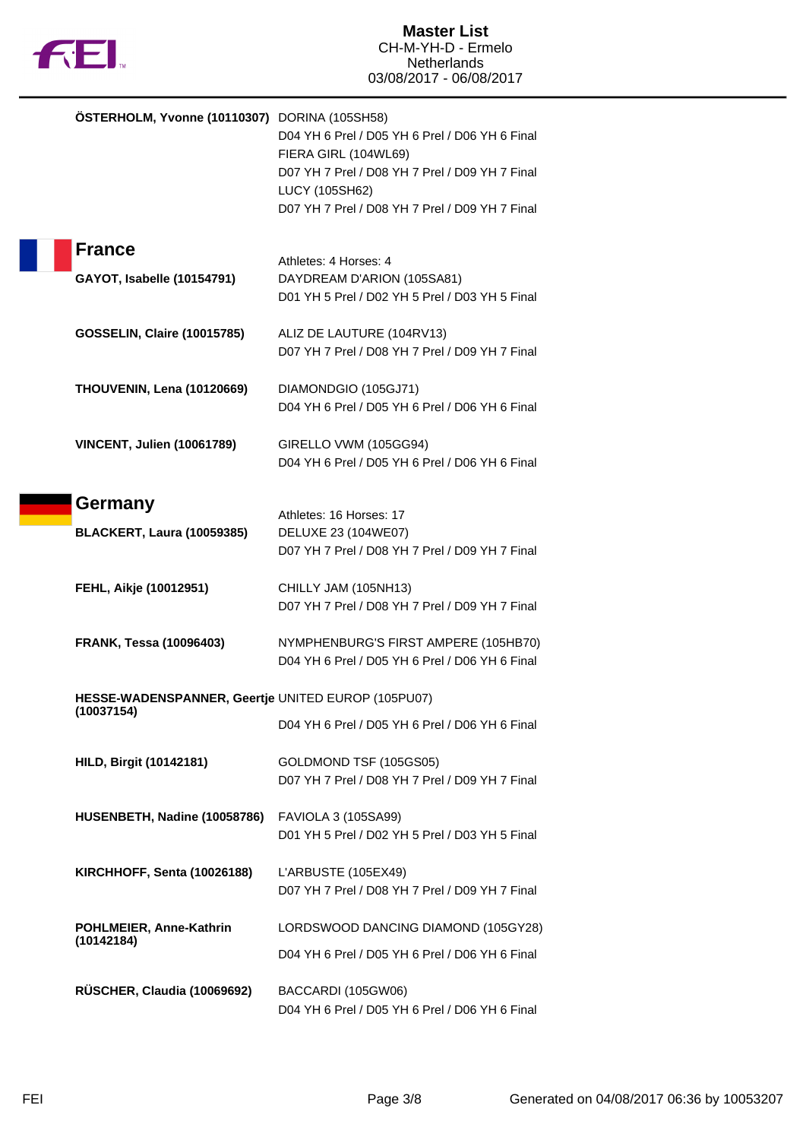

|               | ÖSTERHOLM, Yvonne (10110307) DORINA (105SH58) | D04 YH 6 Prel / D05 YH 6 Prel / D06 YH 6 Final                               |
|---------------|-----------------------------------------------|------------------------------------------------------------------------------|
|               |                                               | FIERA GIRL (104WL69)<br>D07 YH 7 Prel / D08 YH 7 Prel / D09 YH 7 Final       |
|               |                                               | LUCY (105SH62)                                                               |
|               |                                               | D07 YH 7 Prel / D08 YH 7 Prel / D09 YH 7 Final                               |
|               |                                               |                                                                              |
| <b>France</b> |                                               |                                                                              |
|               |                                               | Athletes: 4 Horses: 4                                                        |
|               | GAYOT, Isabelle (10154791)                    | DAYDREAM D'ARION (105SA81)<br>D01 YH 5 Prel / D02 YH 5 Prel / D03 YH 5 Final |
|               |                                               |                                                                              |
|               | <b>GOSSELIN, Claire (10015785)</b>            | ALIZ DE LAUTURE (104RV13)                                                    |
|               |                                               | D07 YH 7 Prel / D08 YH 7 Prel / D09 YH 7 Final                               |
|               |                                               |                                                                              |
|               | THOUVENIN, Lena (10120669)                    | DIAMONDGIO (105GJ71)                                                         |
|               |                                               | D04 YH 6 Prel / D05 YH 6 Prel / D06 YH 6 Final                               |
|               | <b>VINCENT, Julien (10061789)</b>             | GIRELLO VWM (105GG94)                                                        |
|               |                                               | D04 YH 6 Prel / D05 YH 6 Prel / D06 YH 6 Final                               |
|               |                                               |                                                                              |
| Germany       |                                               |                                                                              |
|               |                                               | Athletes: 16 Horses: 17                                                      |
|               | <b>BLACKERT, Laura (10059385)</b>             | DELUXE 23 (104WE07)                                                          |
|               |                                               | D07 YH 7 Prel / D08 YH 7 Prel / D09 YH 7 Final                               |
|               | FEHL, Aikje (10012951)                        | CHILLY JAM (105NH13)                                                         |
|               |                                               | D07 YH 7 Prel / D08 YH 7 Prel / D09 YH 7 Final                               |
|               |                                               |                                                                              |
|               | <b>FRANK, Tessa (10096403)</b>                | NYMPHENBURG'S FIRST AMPERE (105HB70)                                         |
|               |                                               | D04 YH 6 Prel / D05 YH 6 Prel / D06 YH 6 Final                               |
|               |                                               | HESSE-WADENSPANNER, Geertje UNITED EUROP (105PU07)                           |
| (10037154)    |                                               |                                                                              |
|               |                                               | D04 YH 6 Prel / D05 YH 6 Prel / D06 YH 6 Final                               |
|               | <b>HILD, Birgit (10142181)</b>                | GOLDMOND TSF (105GS05)                                                       |
|               |                                               | D07 YH 7 Prel / D08 YH 7 Prel / D09 YH 7 Final                               |
|               |                                               |                                                                              |
|               | HUSENBETH, Nadine (10058786)                  | FAVIOLA 3 (105SA99)                                                          |
|               |                                               | D01 YH 5 Prel / D02 YH 5 Prel / D03 YH 5 Final                               |
|               |                                               |                                                                              |
|               | KIRCHHOFF, Senta (10026188)                   | L'ARBUSTE (105EX49)                                                          |
|               |                                               | D07 YH 7 Prel / D08 YH 7 Prel / D09 YH 7 Final                               |
|               | POHLMEIER, Anne-Kathrin                       | LORDSWOOD DANCING DIAMOND (105GY28)                                          |
| (10142184)    |                                               |                                                                              |
|               |                                               | D04 YH 6 Prel / D05 YH 6 Prel / D06 YH 6 Final                               |
|               | RÜSCHER, Claudia (10069692)                   | BACCARDI (105GW06)                                                           |
|               |                                               | D04 YH 6 Prel / D05 YH 6 Prel / D06 YH 6 Final                               |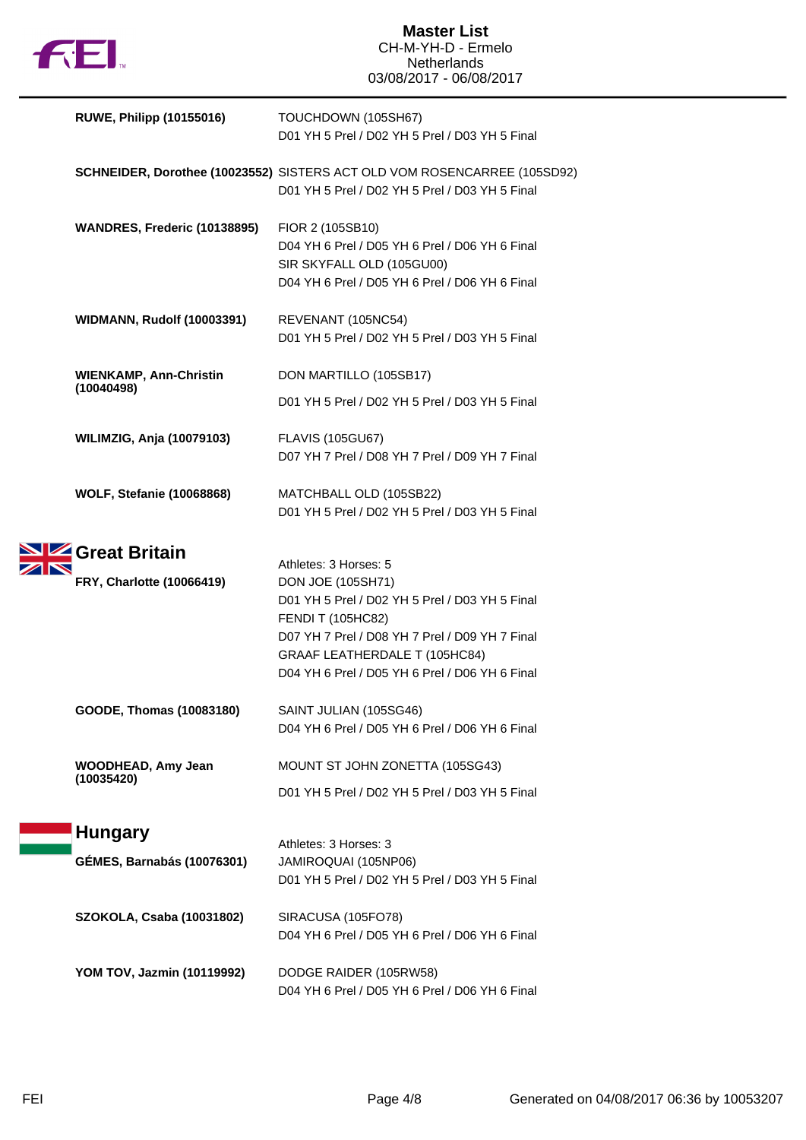

| <b>RUWE, Philipp (10155016)</b>   | TOUCHDOWN (105SH67)<br>D01 YH 5 Prel / D02 YH 5 Prel / D03 YH 5 Final                                                                                                                                                                |
|-----------------------------------|--------------------------------------------------------------------------------------------------------------------------------------------------------------------------------------------------------------------------------------|
|                                   | SCHNEIDER, Dorothee (10023552) SISTERS ACT OLD VOM ROSENCARREE (105SD92)<br>D01 YH 5 Prel / D02 YH 5 Prel / D03 YH 5 Final                                                                                                           |
| WANDRES, Frederic (10138895)      | FIOR 2 (105SB10)<br>D04 YH 6 Prel / D05 YH 6 Prel / D06 YH 6 Final<br>SIR SKYFALL OLD (105GU00)<br>D04 YH 6 Prel / D05 YH 6 Prel / D06 YH 6 Final                                                                                    |
| <b>WIDMANN, Rudolf (10003391)</b> | REVENANT (105NC54)<br>D01 YH 5 Prel / D02 YH 5 Prel / D03 YH 5 Final                                                                                                                                                                 |
| <b>WIENKAMP, Ann-Christin</b>     | DON MARTILLO (105SB17)                                                                                                                                                                                                               |
| (10040498)                        | D01 YH 5 Prel / D02 YH 5 Prel / D03 YH 5 Final                                                                                                                                                                                       |
| <b>WILIMZIG, Anja (10079103)</b>  | <b>FLAVIS (105GU67)</b><br>D07 YH 7 Prel / D08 YH 7 Prel / D09 YH 7 Final                                                                                                                                                            |
| <b>WOLF, Stefanie (10068868)</b>  | MATCHBALL OLD (105SB22)<br>D01 YH 5 Prel / D02 YH 5 Prel / D03 YH 5 Final                                                                                                                                                            |
| <b>SIZ</b> Great Britain          | Athletes: 3 Horses: 5                                                                                                                                                                                                                |
| FRY, Charlotte (10066419)         | DON JOE (105SH71)<br>D01 YH 5 Prel / D02 YH 5 Prel / D03 YH 5 Final<br><b>FENDI T (105HC82)</b><br>D07 YH 7 Prel / D08 YH 7 Prel / D09 YH 7 Final<br>GRAAF LEATHERDALE T (105HC84)<br>D04 YH 6 Prel / D05 YH 6 Prel / D06 YH 6 Final |
| GOODE, Thomas (10083180)          | SAINT JULIAN (105SG46)<br>D04 YH 6 Prel / D05 YH 6 Prel / D06 YH 6 Final                                                                                                                                                             |
| <b>WOODHEAD, Amy Jean</b>         | MOUNT ST JOHN ZONETTA (105SG43)                                                                                                                                                                                                      |
| (10035420)                        | D01 YH 5 Prel / D02 YH 5 Prel / D03 YH 5 Final                                                                                                                                                                                       |
| <b>Hungary</b>                    |                                                                                                                                                                                                                                      |
| <b>GÉMES, Barnabás (10076301)</b> | Athletes: 3 Horses: 3<br>JAMIROQUAI (105NP06)<br>D01 YH 5 Prel / D02 YH 5 Prel / D03 YH 5 Final                                                                                                                                      |
| SZOKOLA, Csaba (10031802)         | SIRACUSA (105FO78)<br>D04 YH 6 Prel / D05 YH 6 Prel / D06 YH 6 Final                                                                                                                                                                 |
| YOM TOV, Jazmin (10119992)        | DODGE RAIDER (105RW58)<br>D04 YH 6 Prel / D05 YH 6 Prel / D06 YH 6 Final                                                                                                                                                             |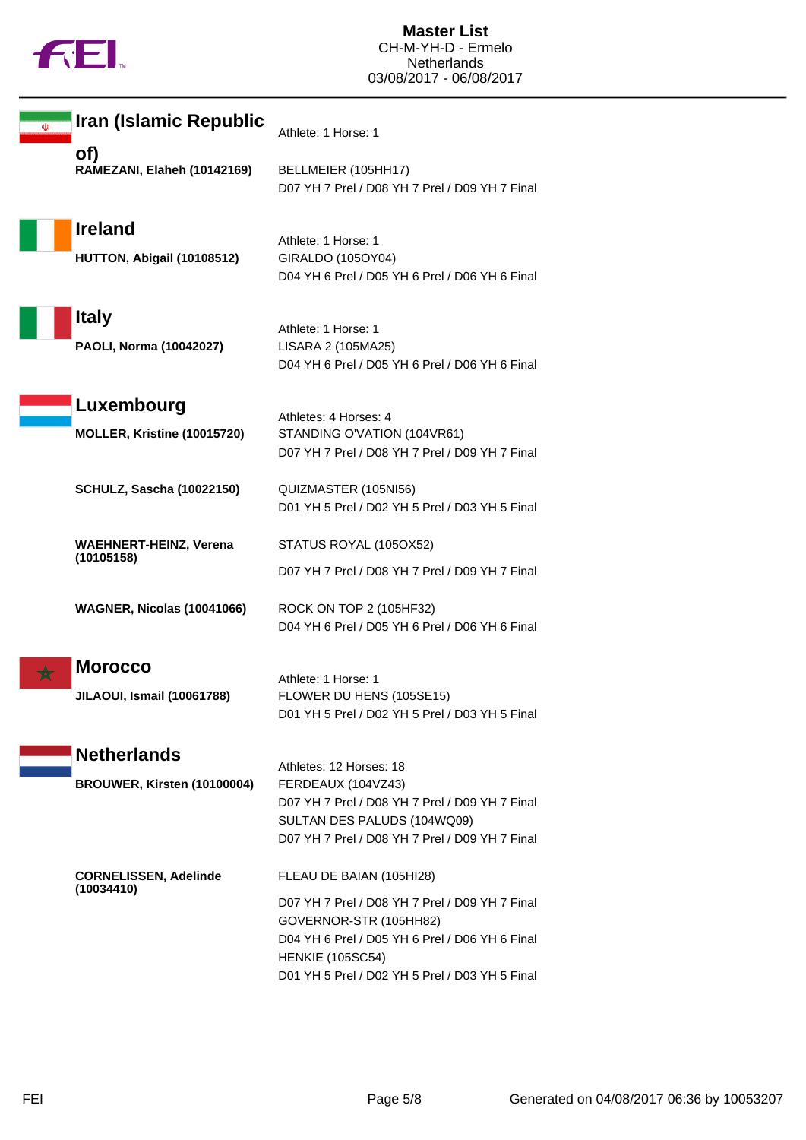

| ◍ | Iran (Islamic Republic                              | Athlete: 1 Horse: 1                                                                                                                                                                                                                 |
|---|-----------------------------------------------------|-------------------------------------------------------------------------------------------------------------------------------------------------------------------------------------------------------------------------------------|
|   | of)<br>RAMEZANI, Elaheh (10142169)                  | BELLMEIER (105HH17)<br>D07 YH 7 Prel / D08 YH 7 Prel / D09 YH 7 Final                                                                                                                                                               |
|   | <b>Ireland</b><br>HUTTON, Abigail (10108512)        | Athlete: 1 Horse: 1<br>GIRALDO (105OY04)<br>D04 YH 6 Prel / D05 YH 6 Prel / D06 YH 6 Final                                                                                                                                          |
|   | <b>Italy</b><br>PAOLI, Norma (10042027)             | Athlete: 1 Horse: 1<br>LISARA 2 (105MA25)<br>D04 YH 6 Prel / D05 YH 6 Prel / D06 YH 6 Final                                                                                                                                         |
|   | Luxembourg<br>MOLLER, Kristine (10015720)           | Athletes: 4 Horses: 4<br>STANDING O'VATION (104VR61)<br>D07 YH 7 Prel / D08 YH 7 Prel / D09 YH 7 Final                                                                                                                              |
|   | <b>SCHULZ, Sascha (10022150)</b>                    | QUIZMASTER (105NI56)<br>D01 YH 5 Prel / D02 YH 5 Prel / D03 YH 5 Final                                                                                                                                                              |
|   | <b>WAEHNERT-HEINZ, Verena</b><br>(10105158)         | STATUS ROYAL (105OX52)<br>D07 YH 7 Prel / D08 YH 7 Prel / D09 YH 7 Final                                                                                                                                                            |
|   | <b>WAGNER, Nicolas (10041066)</b>                   | ROCK ON TOP 2 (105HF32)<br>D04 YH 6 Prel / D05 YH 6 Prel / D06 YH 6 Final                                                                                                                                                           |
|   | <b>Morocco</b><br><b>JILAOUI, Ismail (10061788)</b> | Athlete: 1 Horse: 1<br>FLOWER DU HENS (105SE15)<br>D01 YH 5 Prel / D02 YH 5 Prel / D03 YH 5 Final                                                                                                                                   |
|   | <b>Netherlands</b><br>BROUWER, Kirsten (10100004)   | Athletes: 12 Horses: 18<br>FERDEAUX (104VZ43)<br>D07 YH 7 Prel / D08 YH 7 Prel / D09 YH 7 Final<br>SULTAN DES PALUDS (104WQ09)<br>D07 YH 7 Prel / D08 YH 7 Prel / D09 YH 7 Final                                                    |
|   | <b>CORNELISSEN, Adelinde</b><br>(10034410)          | FLEAU DE BAIAN (105HI28)<br>D07 YH 7 Prel / D08 YH 7 Prel / D09 YH 7 Final<br>GOVERNOR-STR (105HH82)<br>D04 YH 6 Prel / D05 YH 6 Prel / D06 YH 6 Final<br><b>HENKIE (105SC54)</b><br>D01 YH 5 Prel / D02 YH 5 Prel / D03 YH 5 Final |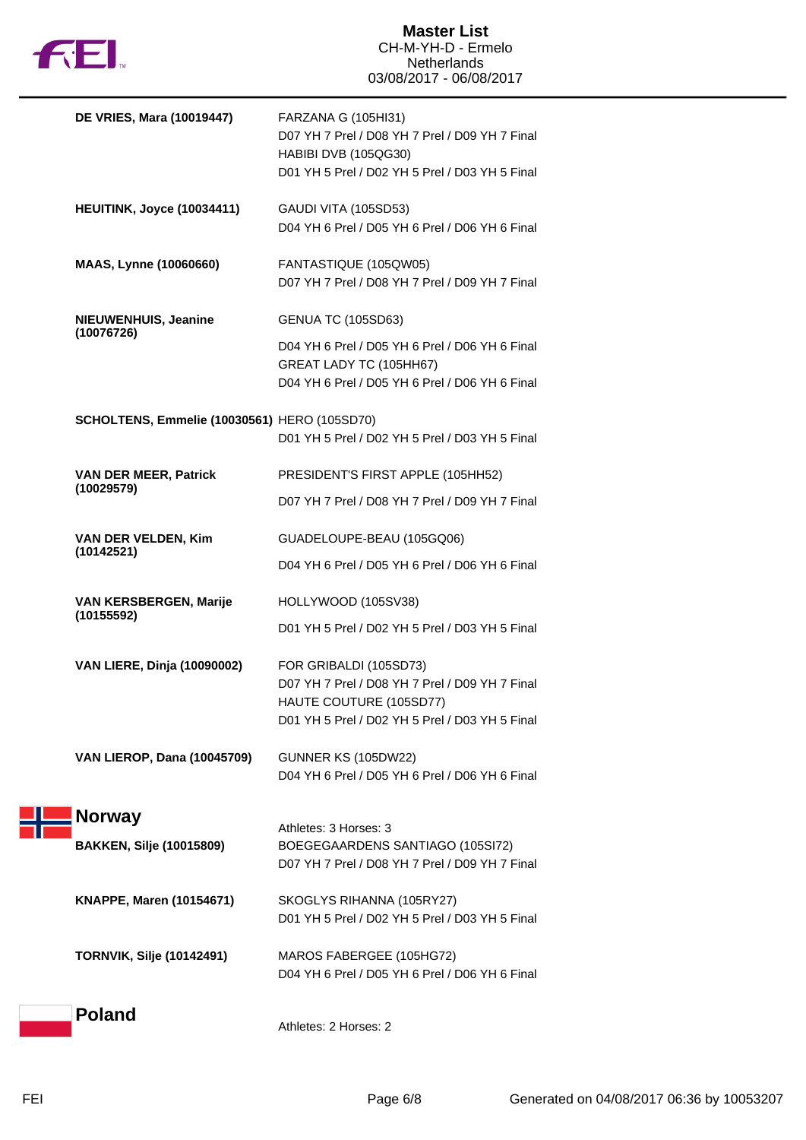

| <b>DE VRIES, Mara (10019447)</b>                 | FARZANA G (105HI31)<br>D07 YH 7 Prel / D08 YH 7 Prel / D09 YH 7 Final<br>HABIBI DVB (105QG30)<br>D01 YH 5 Prel / D02 YH 5 Prel / D03 YH 5 Final          |
|--------------------------------------------------|----------------------------------------------------------------------------------------------------------------------------------------------------------|
| <b>HEUITINK, Joyce (10034411)</b>                | GAUDI VITA (105SD53)<br>D04 YH 6 Prel / D05 YH 6 Prel / D06 YH 6 Final                                                                                   |
| MAAS, Lynne (10060660)                           | FANTASTIQUE (105QW05)<br>D07 YH 7 Prel / D08 YH 7 Prel / D09 YH 7 Final                                                                                  |
| NIEUWENHUIS, Jeanine<br>(10076726)               | <b>GENUA TC (105SD63)</b><br>D04 YH 6 Prel / D05 YH 6 Prel / D06 YH 6 Final<br>GREAT LADY TC (105HH67)<br>D04 YH 6 Prel / D05 YH 6 Prel / D06 YH 6 Final |
| SCHOLTENS, Emmelie (10030561) HERO (105SD70)     | D01 YH 5 Prel / D02 YH 5 Prel / D03 YH 5 Final                                                                                                           |
| <b>VAN DER MEER, Patrick</b><br>(10029579)       | PRESIDENT'S FIRST APPLE (105HH52)<br>D07 YH 7 Prel / D08 YH 7 Prel / D09 YH 7 Final                                                                      |
| VAN DER VELDEN, Kim<br>(10142521)                | GUADELOUPE-BEAU (105GQ06)<br>D04 YH 6 Prel / D05 YH 6 Prel / D06 YH 6 Final                                                                              |
| VAN KERSBERGEN, Marije<br>(10155592)             | HOLLYWOOD (105SV38)<br>D01 YH 5 Prel / D02 YH 5 Prel / D03 YH 5 Final                                                                                    |
| <b>VAN LIERE, Dinja (10090002)</b>               | FOR GRIBALDI (105SD73)<br>D07 YH 7 Prel / D08 YH 7 Prel / D09 YH 7 Final<br>HAUTE COUTURE (105SD77)<br>D01 YH 5 Prel / D02 YH 5 Prel / D03 YH 5 Final    |
| <b>VAN LIEROP, Dana (10045709)</b>               | <b>GUNNER KS (105DW22)</b><br>D04 YH 6 Prel / D05 YH 6 Prel / D06 YH 6 Final                                                                             |
| <b>Norway</b><br><b>BAKKEN, Silje (10015809)</b> | Athletes: 3 Horses: 3<br>BOEGEGAARDENS SANTIAGO (105SI72)<br>D07 YH 7 Prel / D08 YH 7 Prel / D09 YH 7 Final                                              |
| <b>KNAPPE, Maren (10154671)</b>                  | SKOGLYS RIHANNA (105RY27)<br>D01 YH 5 Prel / D02 YH 5 Prel / D03 YH 5 Final                                                                              |
| <b>TORNVIK, Silje (10142491)</b>                 | MAROS FABERGEE (105HG72)<br>D04 YH 6 Prel / D05 YH 6 Prel / D06 YH 6 Final                                                                               |
| <b>Poland</b>                                    | Athletes: 2 Horses: 2                                                                                                                                    |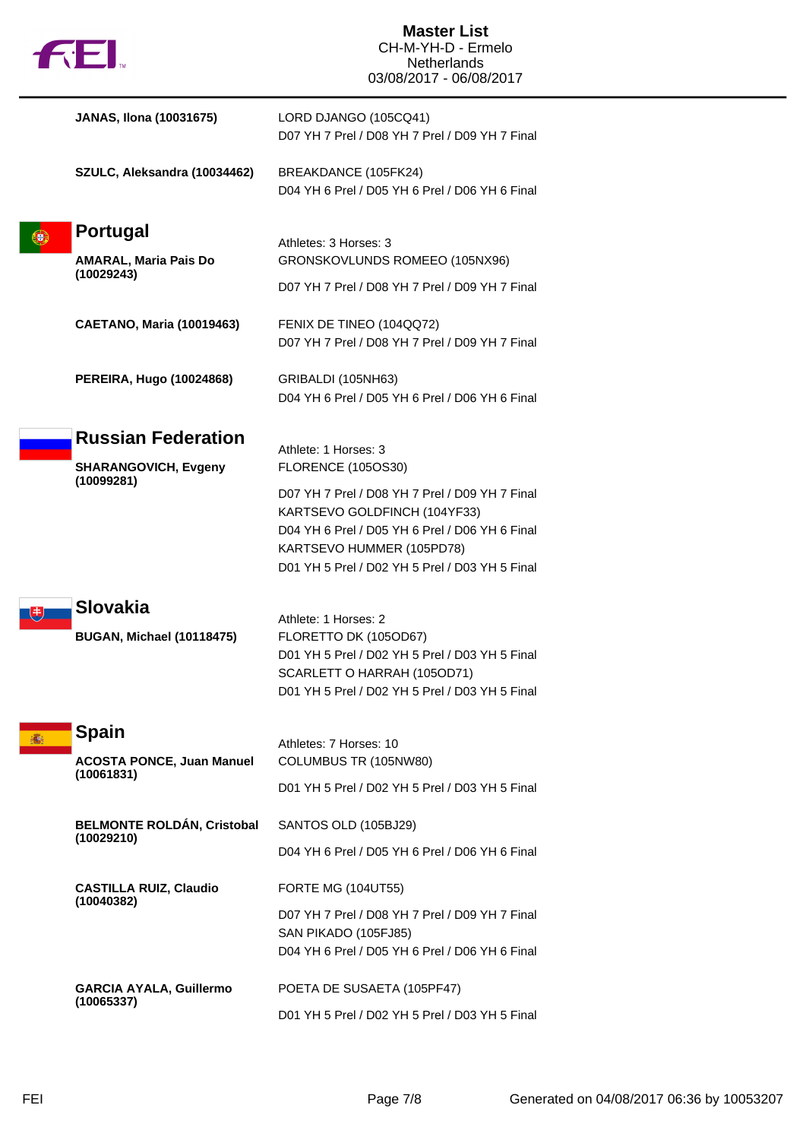| fil.                                            | <b>Master List</b><br>CH-M-YH-D - Ermelo<br><b>Netherlands</b><br>03/08/2017 - 06/08/2017                                                                                                                       |
|-------------------------------------------------|-----------------------------------------------------------------------------------------------------------------------------------------------------------------------------------------------------------------|
| <b>JANAS, Ilona (10031675)</b>                  | LORD DJANGO (105CQ41)<br>D07 YH 7 Prel / D08 YH 7 Prel / D09 YH 7 Final                                                                                                                                         |
| SZULC, Aleksandra (10034462)                    | BREAKDANCE (105FK24)<br>D04 YH 6 Prel / D05 YH 6 Prel / D06 YH 6 Final                                                                                                                                          |
| Portugal                                        | Athletes: 3 Horses: 3                                                                                                                                                                                           |
| <b>AMARAL, Maria Pais Do</b>                    | GRONSKOVLUNDS ROMEEO (105NX96)                                                                                                                                                                                  |
| (10029243)                                      | D07 YH 7 Prel / D08 YH 7 Prel / D09 YH 7 Final                                                                                                                                                                  |
| <b>CAETANO, Maria (10019463)</b>                | FENIX DE TINEO (104QQ72)<br>D07 YH 7 Prel / D08 YH 7 Prel / D09 YH 7 Final                                                                                                                                      |
| PEREIRA, Hugo (10024868)                        | GRIBALDI (105NH63)<br>D04 YH 6 Prel / D05 YH 6 Prel / D06 YH 6 Final                                                                                                                                            |
| <b>Russian Federation</b>                       | Athlete: 1 Horses: 3                                                                                                                                                                                            |
| <b>SHARANGOVICH, Evgeny</b><br>(10099281)       | <b>FLORENCE (105OS30)</b>                                                                                                                                                                                       |
|                                                 | D07 YH 7 Prel / D08 YH 7 Prel / D09 YH 7 Final<br>KARTSEVO GOLDFINCH (104YF33)<br>D04 YH 6 Prel / D05 YH 6 Prel / D06 YH 6 Final<br>KARTSEVO HUMMER (105PD78)<br>D01 YH 5 Prel / D02 YH 5 Prel / D03 YH 5 Final |
| Slovakia                                        |                                                                                                                                                                                                                 |
| <b>BUGAN, Michael (10118475)</b>                | Athlete: 1 Horses: 2<br>FLORETTO DK (105OD67)<br>D01 YH 5 Prel / D02 YH 5 Prel / D03 YH 5 Final<br>SCARLETT O HARRAH (105OD71)<br>D01 YH 5 Prel / D02 YH 5 Prel / D03 YH 5 Final                                |
| <b>Spain</b>                                    | Athletes: 7 Horses: 10                                                                                                                                                                                          |
| <b>ACOSTA PONCE, Juan Manuel</b><br>(10061831)  | COLUMBUS TR (105NW80)                                                                                                                                                                                           |
|                                                 | D01 YH 5 Prel / D02 YH 5 Prel / D03 YH 5 Final                                                                                                                                                                  |
| <b>BELMONTE ROLDÁN, Cristobal</b><br>(10029210) | SANTOS OLD (105BJ29)                                                                                                                                                                                            |
|                                                 | D04 YH 6 Prel / D05 YH 6 Prel / D06 YH 6 Final                                                                                                                                                                  |
| <b>CASTILLA RUIZ, Claudio</b><br>(10040382)     | <b>FORTE MG (104UT55)</b>                                                                                                                                                                                       |
|                                                 | D07 YH 7 Prel / D08 YH 7 Prel / D09 YH 7 Final<br>SAN PIKADO (105FJ85)<br>D04 YH 6 Prel / D05 YH 6 Prel / D06 YH 6 Final                                                                                        |
| <b>GARCIA AYALA, Guillermo</b>                  | POETA DE SUSAETA (105PF47)                                                                                                                                                                                      |
| (10065337)                                      | D01 YH 5 Prel / D02 YH 5 Prel / D03 YH 5 Final                                                                                                                                                                  |